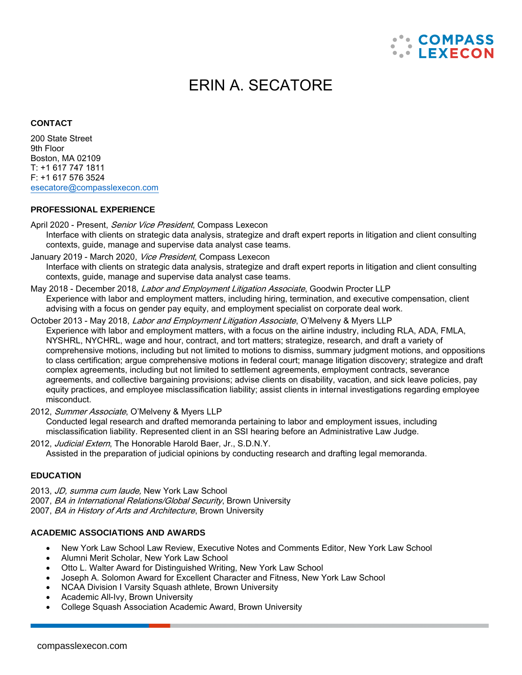

# ERIN A. SECATORE

#### **CONTACT**

200 State Street 9th Floor Boston, MA 02109 T: +1 617 747 1811 F: +1 617 576 3524 [esecatore@compasslexecon.com](mailto:esecatore@compasslexecon.com)

#### **PROFESSIONAL EXPERIENCE**

- April 2020 Present, Senior Vice President, Compass Lexecon Interface with clients on strategic data analysis, strategize and draft expert reports in litigation and client consulting contexts, guide, manage and supervise data analyst case teams.
- January 2019 March 2020, Vice President, Compass Lexecon Interface with clients on strategic data analysis, strategize and draft expert reports in litigation and client consulting contexts, guide, manage and supervise data analyst case teams.
- May 2018 December 2018, Labor and Employment Litigation Associate, Goodwin Procter LLP Experience with labor and employment matters, including hiring, termination, and executive compensation, client advising with a focus on gender pay equity, and employment specialist on corporate deal work.
- October 2013 May 2018, Labor and Employment Litigation Associate, O'Melveny & Myers LLP Experience with labor and employment matters, with a focus on the airline industry, including RLA, ADA, FMLA, NYSHRL, NYCHRL, wage and hour, contract, and tort matters; strategize, research, and draft a variety of comprehensive motions, including but not limited to motions to dismiss, summary judgment motions, and oppositions to class certification; argue comprehensive motions in federal court; manage litigation discovery; strategize and draft complex agreements, including but not limited to settlement agreements, employment contracts, severance agreements, and collective bargaining provisions; advise clients on disability, vacation, and sick leave policies, pay equity practices, and employee misclassification liability; assist clients in internal investigations regarding employee misconduct.
- 2012, Summer Associate, O'Melveny & Myers LLP Conducted legal research and drafted memoranda pertaining to labor and employment issues, including
	- misclassification liability. Represented client in an SSI hearing before an Administrative Law Judge.
- 2012, Judicial Extern, The Honorable Harold Baer, Jr., S.D.N.Y. Assisted in the preparation of judicial opinions by conducting research and drafting legal memoranda.

#### **EDUCATION**

- 2013, JD, summa cum laude, New York Law School
- 2007, BA in International Relations/Global Security, Brown University
- 2007, BA in History of Arts and Architecture, Brown University

#### **ACADEMIC ASSOCIATIONS AND AWARDS**

- New York Law School Law Review, Executive Notes and Comments Editor, New York Law School
- Alumni Merit Scholar, New York Law School
- Otto L. Walter Award for Distinguished Writing, New York Law School
- Joseph A. Solomon Award for Excellent Character and Fitness, New York Law School
- NCAA Division I Varsity Squash athlete, Brown University
- Academic All-Ivy, Brown University
- College Squash Association Academic Award, Brown University